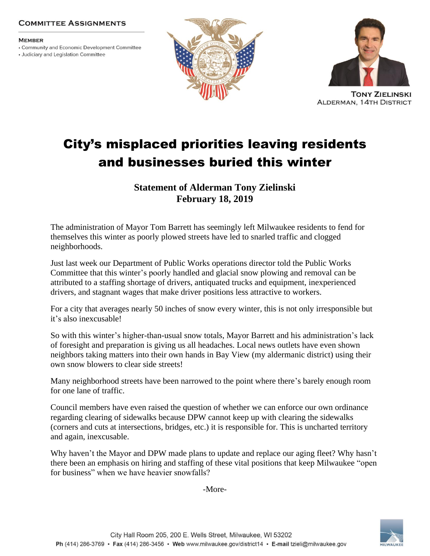## **COMMITTEE ASSIGNMENTS**

## **MEMBER**

• Community and Economic Development Committee

• Judiciary and Legislation Committee





**TONY ZIELINSKI ALDERMAN, 14TH DISTRICT** 

## City's misplaced priorities leaving residents and businesses buried this winter

**Statement of Alderman Tony Zielinski February 18, 2019**

The administration of Mayor Tom Barrett has seemingly left Milwaukee residents to fend for themselves this winter as poorly plowed streets have led to snarled traffic and clogged neighborhoods.

Just last week our Department of Public Works operations director told the Public Works Committee that this winter's poorly handled and glacial snow plowing and removal can be attributed to a staffing shortage of drivers, antiquated trucks and equipment, inexperienced drivers, and stagnant wages that make driver positions less attractive to workers.

For a city that averages nearly 50 inches of snow every winter, this is not only irresponsible but it's also inexcusable!

So with this winter's higher-than-usual snow totals, Mayor Barrett and his administration's lack of foresight and preparation is giving us all headaches. Local news outlets have even shown neighbors taking matters into their own hands in Bay View (my aldermanic district) using their own snow blowers to clear side streets!

Many neighborhood streets have been narrowed to the point where there's barely enough room for one lane of traffic.

Council members have even raised the question of whether we can enforce our own ordinance regarding clearing of sidewalks because DPW cannot keep up with clearing the sidewalks (corners and cuts at intersections, bridges, etc.) it is responsible for. This is uncharted territory and again, inexcusable.

Why haven't the Mayor and DPW made plans to update and replace our aging fleet? Why hasn't there been an emphasis on hiring and staffing of these vital positions that keep Milwaukee "open for business" when we have heavier snowfalls?

-More-